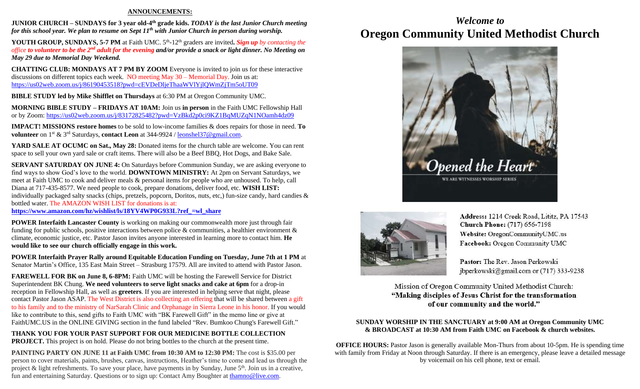#### **ANNOUNCEMENTS:**

**JUNIOR CHURCH – SUNDAYS for 3 year old-4<sup>th</sup> grade kids. TODAY is the last Junior Church meeting** *for this school year. We plan to resume on Sept 11th with Junior Church in person during worship.*

**YOUTH GROUP, SUNDAYS, 5-7 PM** at Faith UMC. 5<sup>th</sup>-12<sup>th</sup> graders are invited. Sign up by contacting the *office to volunteer to be the 2nd adult for the evening and/or provide a snack or light dinner. No Meeting on May 29 due to Memorial Day Weekend.*

**CHATTING CLUB: MONDAYS AT 7 PM BY ZOOM** Everyone is invited to join us for these interactive discussions on different topics each week. NO meeting May 30 – Memorial Day. Join us at: <https://us02web.zoom.us/j/86190453518?pwd=cEVDeDljeThaaWVlYjlQWmZjTm5oUT09>

**BIBLE STUDY led by Mike Shifflet on Thursdays** at 6:30 PM at Oregon Community UMC.

**MORNING BIBLE STUDY – FRIDAYS AT 10AM:** Join us **in person** in the Faith UMC Fellowship Hall or by Zoom: <https://us02web.zoom.us/j/83172825482?pwd=VzBkd2p0ci9KZ1BqMUZqN1NOamh4dz09>

**IMPACT! MISSIONS restore homes** to be sold to low-income families & does repairs for those in need. **To volunteer** on 1st & 3rd Saturdays, **contact Leon** at 344-9924 / [leonshel37@gmail.com.](about:blank)

**YARD SALE AT OCUMC on Sat., May 28:** Donated items for the church table are welcome. You can rent space to sell your own yard sale or craft items. There will also be a Beef BBQ, Hot Dogs, and Bake Sale.

**SERVANT SATURDAY ON JUNE 4:** On Saturdays before Communion Sunday, we are asking everyone to find ways to show God's love to the world. **DOWNTOWN MINISTRY:** At 2pm on Servant Saturdays, we meet at Faith UMC to cook and deliver meals & personal items for people who are unhoused. To help, call Diana at 717-435-8577. We need people to cook, prepare donations, deliver food, etc. **WISH LIST:**  individually packaged salty snacks (chips, pretzels, popcorn, Doritos, nuts, etc,) fun-size candy, hard candies & bottled water. The AMAZON WISH LIST for donations is at:

**[https://www.amazon.com/hz/wishlist/ls/18YV4WP0G933L?ref\\_=wl\\_share](https://www.amazon.com/hz/wishlist/ls/18YV4WP0G933L?ref_=wl_share)**

**POWER Interfaith Lancaster County** is working on making our commonwealth more just through fair funding for public schools, positive interactions between police & communities, a healthier environment  $\&$ climate, economic justice, etc. Pastor Jason invites anyone interested in learning more to contact him. **He would like to see our church officially engage in this work.**

**POWER Interfaith Prayer Rally around Equitable Education Funding on Tuesday, June 7th at 1 PM** at Senator Martin's Office, 135 East Main Street – Strasburg 17579. All are invited to attend with Pastor Jason.

**FAREWELL FOR BK on June 8, 6-8PM:** Faith UMC will be hosting the Farewell Service for District Superintendent BK Chung. **We need volunteers to serve light snacks and cake at 6pm** for a drop-in reception in Fellowship Hall, as well as **greeters**. If you are interested in helping serve that night, please contact Pastor Jason ASAP. The West District is also collecting an offering that will be shared between a gift to his family and to the ministry of NarSarah Clinic and Orphanage in Sierra Leone in his honor. If you would like to contribute to this, send gifts to Faith UMC with "BK Farewell Gift" in the memo line or give at FaithUMC.US in the ONLINE GIVING section in the fund labeled "Rev. Bumkoo Chung's Farewell Gift."

**THANK YOU FOR YOUR PAST SUPPORT FOR OUR MEDICINE BOTTLE COLLECTION PROJECT.** This project is on hold. Please do not bring bottles to the church at the present time.

**PAINTING PARTY ON JUNE 11 at Faith UMC from 10:30 AM to 12:30 PM:** The cost is \$35.00 per person to cover materials, paints, brushes, canvas, instructions, Heather's time to come and lead us through the project & light refreshments. To save your place, have payments in by Sunday, June 5<sup>th</sup>. Join us in a creative, fun and entertaining Saturday. Questions or to sign up: Contact Amy Boughter a[t thamno@live.com.](mailto:thamno@live.com)

## *Welcome to* **Oregon Community United Methodist Church**





Address: 1214 Creek Road, Lititz, PA 17543 **Church Phone:** (717) 656-7198 Website: OregonCommunityUMC.us Facebook: Oregon Community UMC

Pastor: The Rev. Jason Perkowski jbperkowski@gmail.com or (717) 333-9238

Mission of Oregon Community United Methodist Church: "Making disciples of Jesus Christ for the transformation of our community and the world."

#### **SUNDAY WORSHIP IN THE SANCTUARY at 9:00 AM at Oregon Community UMC & BROADCAST at 10:30 AM from Faith UMC on Facebook & church websites.**

**OFFICE HOURS:** Pastor Jason is generally available Mon-Thurs from about 10-5pm. He is spending time with family from Friday at Noon through Saturday. If there is an emergency, please leave a detailed message by voicemail on his cell phone, text or email.